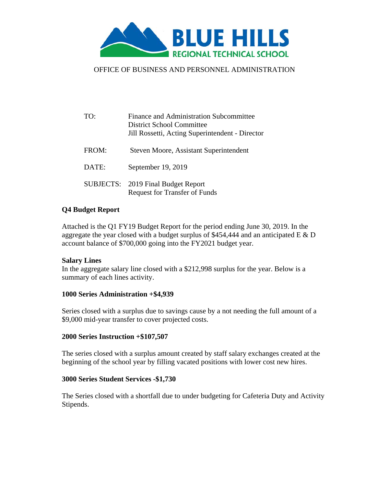

# OFFICE OF BUSINESS AND PERSONNEL ADMINISTRATION

| TO:              | Finance and Administration Subcommittee<br>District School Committee<br>Jill Rossetti, Acting Superintendent - Director |
|------------------|-------------------------------------------------------------------------------------------------------------------------|
| FROM:            | Steven Moore, Assistant Superintendent                                                                                  |
| DATE:            | September 19, 2019                                                                                                      |
| <b>SUBJECTS:</b> | 2019 Final Budget Report<br><b>Request for Transfer of Funds</b>                                                        |

# **Q4 Budget Report**

Attached is the Q1 FY19 Budget Report for the period ending June 30, 2019. In the aggregate the year closed with a budget surplus of \$454,444 and an anticipated E & D account balance of \$700,000 going into the FY2021 budget year.

### **Salary Lines**

In the aggregate salary line closed with a \$212,998 surplus for the year. Below is a summary of each lines activity.

### **1000 Series Administration +\$4,939**

Series closed with a surplus due to savings cause by a not needing the full amount of a \$9,000 mid-year transfer to cover projected costs.

#### **2000 Series Instruction +\$107,507**

The series closed with a surplus amount created by staff salary exchanges created at the beginning of the school year by filling vacated positions with lower cost new hires.

#### **3000 Series Student Services -\$1,730**

The Series closed with a shortfall due to under budgeting for Cafeteria Duty and Activity Stipends.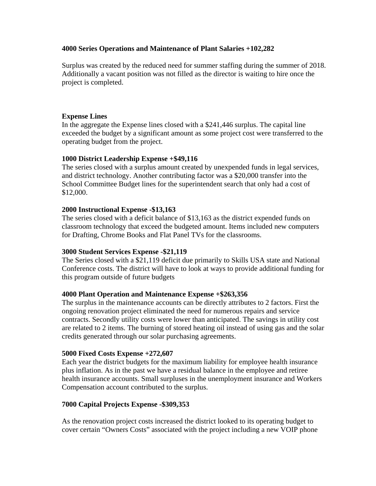### **4000 Series Operations and Maintenance of Plant Salaries +102,282**

Surplus was created by the reduced need for summer staffing during the summer of 2018. Additionally a vacant position was not filled as the director is waiting to hire once the project is completed.

### **Expense Lines**

In the aggregate the Expense lines closed with a \$241,446 surplus. The capital line exceeded the budget by a significant amount as some project cost were transferred to the operating budget from the project.

### **1000 District Leadership Expense +\$49,116**

The series closed with a surplus amount created by unexpended funds in legal services, and district technology. Another contributing factor was a \$20,000 transfer into the School Committee Budget lines for the superintendent search that only had a cost of \$12,000.

### **2000 Instructional Expense -\$13,163**

The series closed with a deficit balance of \$13,163 as the district expended funds on classroom technology that exceed the budgeted amount. Items included new computers for Drafting, Chrome Books and Flat Panel TVs for the classrooms.

### **3000 Student Services Expense -\$21,119**

The Series closed with a \$21,119 deficit due primarily to Skills USA state and National Conference costs. The district will have to look at ways to provide additional funding for this program outside of future budgets

### **4000 Plant Operation and Maintenance Expense +\$263,356**

The surplus in the maintenance accounts can be directly attributes to 2 factors. First the ongoing renovation project eliminated the need for numerous repairs and service contracts. Secondly utility costs were lower than anticipated. The savings in utility cost are related to 2 items. The burning of stored heating oil instead of using gas and the solar credits generated through our solar purchasing agreements.

#### **5000 Fixed Costs Expense +272,607**

Each year the district budgets for the maximum liability for employee health insurance plus inflation. As in the past we have a residual balance in the employee and retiree health insurance accounts. Small surpluses in the unemployment insurance and Workers Compensation account contributed to the surplus.

### **7000 Capital Projects Expense -\$309,353**

As the renovation project costs increased the district looked to its operating budget to cover certain "Owners Costs" associated with the project including a new VOIP phone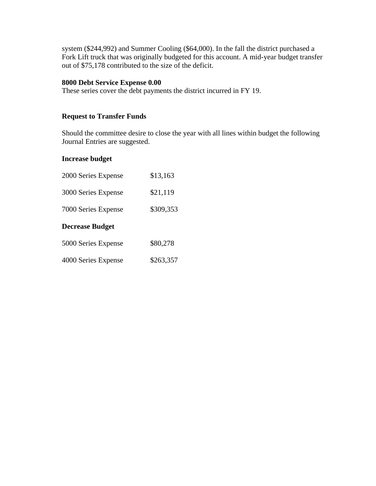system (\$244,992) and Summer Cooling (\$64,000). In the fall the district purchased a Fork Lift truck that was originally budgeted for this account. A mid-year budget transfer out of \$75,178 contributed to the size of the deficit.

# **8000 Debt Service Expense 0.00**

These series cover the debt payments the district incurred in FY 19.

# **Request to Transfer Funds**

Should the committee desire to close the year with all lines within budget the following Journal Entries are suggested.

### **Increase budget**

| 2000 Series Expense    | \$13,163  |
|------------------------|-----------|
| 3000 Series Expense    | \$21,119  |
| 7000 Series Expense    | \$309,353 |
|                        |           |
| <b>Decrease Budget</b> |           |
| 5000 Series Expense    | \$80,278  |